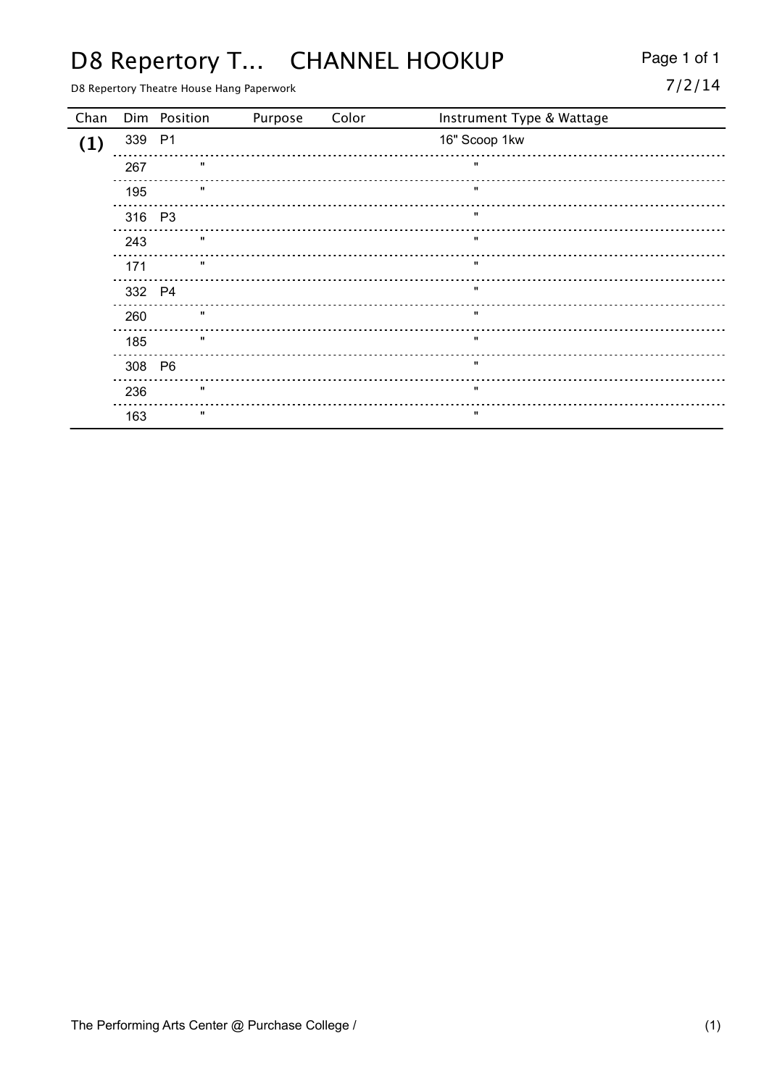## D8 Repertory T... CHANNEL HOOKUP Page 1 of 1

D8 Repertory Theatre House Hang Paperwork

|  |  | ٠ |
|--|--|---|
|  |  |   |

| Chan |        | Dim Position | Purpose | Color | Instrument Type & Wattage |
|------|--------|--------------|---------|-------|---------------------------|
| (1)  | 339 P1 |              |         |       | 16" Scoop 1kw             |
|      | 267    | $\mathbf{u}$ |         |       | $\mathbf{u}$              |
|      | 195    | $\mathbf{u}$ |         |       | $\mathbf{u}$              |
|      | 316 P3 |              |         |       | $\mathbf{u}$              |
|      | 243    | $\mathbf{u}$ |         |       | $\mathbf{u}$              |
|      | 171    | $\mathbf{H}$ |         |       | $\mathbf{u}$              |
|      | 332 P4 |              |         |       | $\mathbf{H}$              |
|      | 260    | $\mathbf{u}$ |         |       | $\mathbf{H}$              |
|      | 185    | $\mathbf{u}$ |         |       | $\mathbf{u}$              |
|      | 308 P6 |              |         |       |                           |
|      | 236    |              |         |       |                           |
|      | 163    |              |         |       |                           |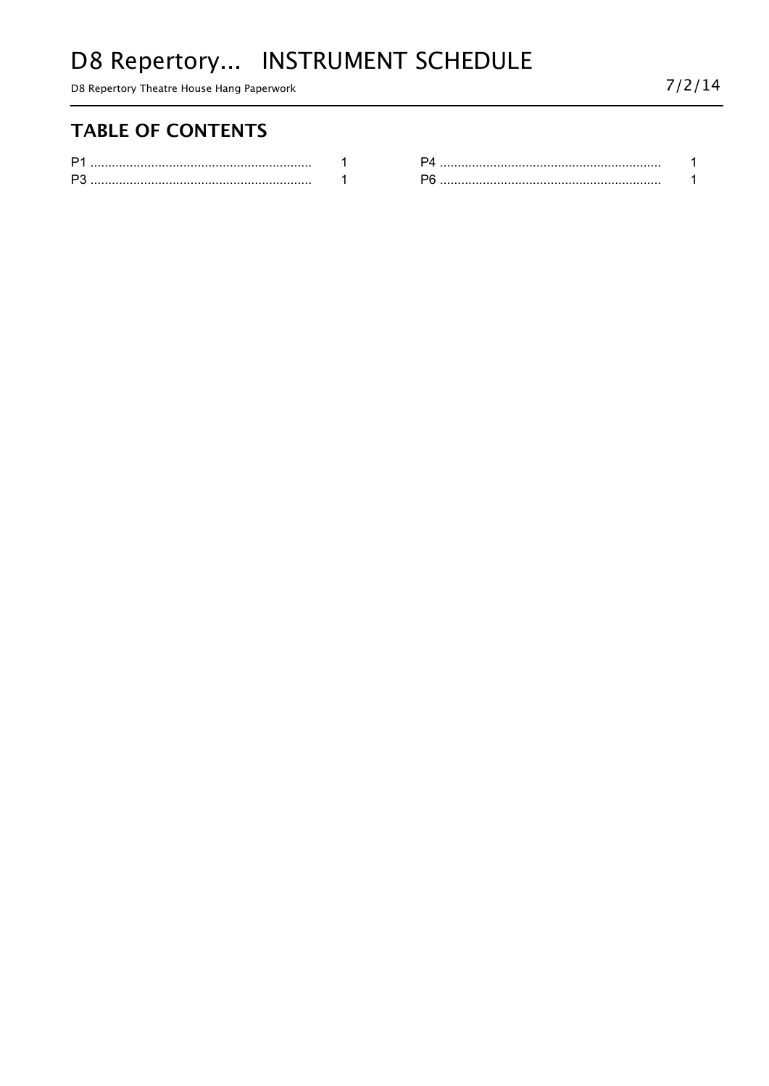# D8 Repertory... INSTRUMENT SCHEDULE

D8 Repertory Theatre House Hang Paperwork

### **TABLE OF CONTENTS**